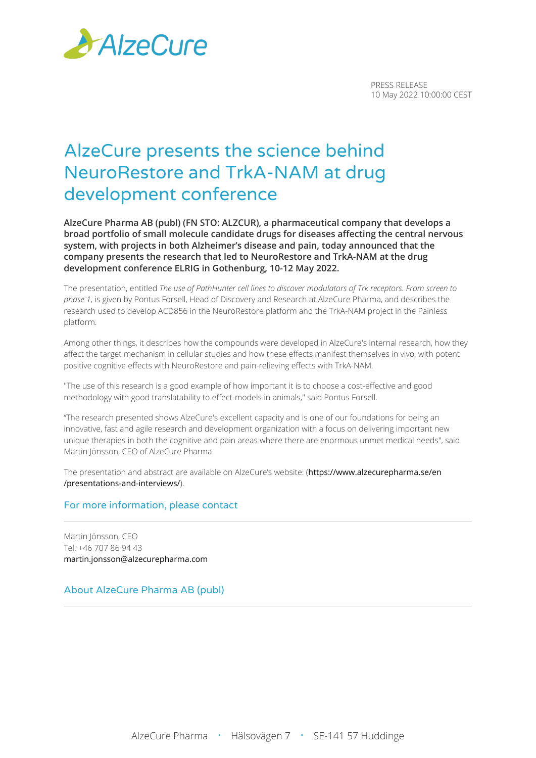

PRESS RELEASE 10 May 2022 10:00:00 CEST

# AlzeCure presents the science behind NeuroRestore and TrkA-NAM at drug development conference

**AlzeCure Pharma AB (publ) (FN STO: ALZCUR), a pharmaceutical company that develops a broad portfolio of small molecule candidate drugs for diseases affecting the central nervous system, with projects in both Alzheimer's disease and pain, today announced that the company presents the research that led to NeuroRestore and TrkA-NAM at the drug development conference ELRIG in Gothenburg, 10-12 May 2022.**

The presentation, entitled *The use of PathHunter cell lines to discover modulators of Trk receptors. From screen to phase 1*, is given by Pontus Forsell, Head of Discovery and Research at AlzeCure Pharma, and describes the research used to develop ACD856 in the NeuroRestore platform and the TrkA-NAM project in the Painless platform.

Among other things, it describes how the compounds were developed in AlzeCure's internal research, how they affect the target mechanism in cellular studies and how these effects manifest themselves in vivo, with potent positive cognitive effects with NeuroRestore and pain-relieving effects with TrkA-NAM.

"The use of this research is a good example of how important it is to choose a cost-effective and good methodology with good translatability to effect-models in animals," said Pontus Forsell.

"The research presented shows AlzeCure's excellent capacity and is one of our foundations for being an innovative, fast and agile research and development organization with a focus on delivering important new unique therapies in both the cognitive and pain areas where there are enormous unmet medical needs", said Martin Jönsson, CEO of AlzeCure Pharma.

The presentation and abstract are available on AlzeCure's website: ([https://www.alzecurepharma.se/en](https://www.alzecurepharma.se/en/presentations-and-interviews/) [/presentations-and-interviews/](https://www.alzecurepharma.se/en/presentations-and-interviews/)).

# For more information, please contact

Martin Jönsson, CEO Tel: +46 707 86 94 43 [martin.jonsson@alzecurepharma.com](mailto:martin.jonsson@alzecurepharma.com)

About AlzeCure Pharma AB (publ)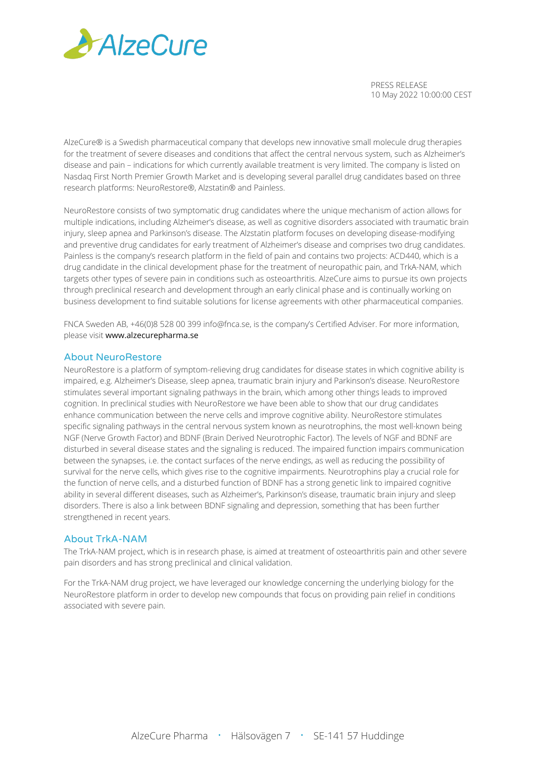

PRESS RELEASE 10 May 2022 10:00:00 CEST

AlzeCure® is a Swedish pharmaceutical company that develops new innovative small molecule drug therapies for the treatment of severe diseases and conditions that affect the central nervous system, such as Alzheimer's disease and pain – indications for which currently available treatment is very limited. The company is listed on Nasdaq First North Premier Growth Market and is developing several parallel drug candidates based on three research platforms: NeuroRestore®, Alzstatin® and Painless.

NeuroRestore consists of two symptomatic drug candidates where the unique mechanism of action allows for multiple indications, including Alzheimer's disease, as well as cognitive disorders associated with traumatic brain injury, sleep apnea and Parkinson's disease. The Alzstatin platform focuses on developing disease-modifying and preventive drug candidates for early treatment of Alzheimer's disease and comprises two drug candidates. Painless is the company's research platform in the field of pain and contains two projects: ACD440, which is a drug candidate in the clinical development phase for the treatment of neuropathic pain, and TrkA-NAM, which targets other types of severe pain in conditions such as osteoarthritis. AlzeCure aims to pursue its own projects through preclinical research and development through an early clinical phase and is continually working on business development to find suitable solutions for license agreements with other pharmaceutical companies.

FNCA Sweden AB, +46(0)8 528 00 399 info@fnca.se, is the company's Certified Adviser. For more information, please visit [www.alzecurepharma.se](http://www.alzecurepharma.se)

# About NeuroRestore

NeuroRestore is a platform of symptom-relieving drug candidates for disease states in which cognitive ability is impaired, e.g. Alzheimer's Disease, sleep apnea, traumatic brain injury and Parkinson's disease. NeuroRestore stimulates several important signaling pathways in the brain, which among other things leads to improved cognition. In preclinical studies with NeuroRestore we have been able to show that our drug candidates enhance communication between the nerve cells and improve cognitive ability. NeuroRestore stimulates specific signaling pathways in the central nervous system known as neurotrophins, the most well-known being NGF (Nerve Growth Factor) and BDNF (Brain Derived Neurotrophic Factor). The levels of NGF and BDNF are disturbed in several disease states and the signaling is reduced. The impaired function impairs communication between the synapses, i.e. the contact surfaces of the nerve endings, as well as reducing the possibility of survival for the nerve cells, which gives rise to the cognitive impairments. Neurotrophins play a crucial role for the function of nerve cells, and a disturbed function of BDNF has a strong genetic link to impaired cognitive ability in several different diseases, such as Alzheimer's, Parkinson's disease, traumatic brain injury and sleep disorders. There is also a link between BDNF signaling and depression, something that has been further strengthened in recent years.

## About TrkA-NAM

The TrkA-NAM project, which is in research phase, is aimed at treatment of osteoarthritis pain and other severe pain disorders and has strong preclinical and clinical validation.

For the TrkA-NAM drug project, we have leveraged our knowledge concerning the underlying biology for the NeuroRestore platform in order to develop new compounds that focus on providing pain relief in conditions associated with severe pain.